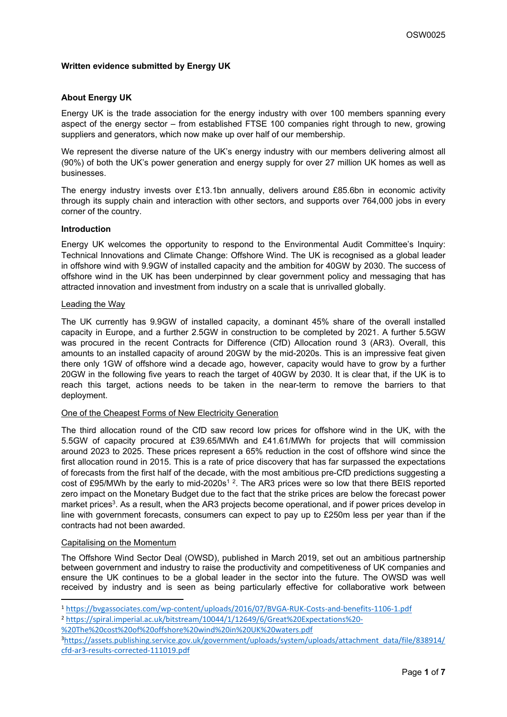# **Written evidence submitted by Energy UK**

# **About Energy UK**

Energy UK is the trade association for the energy industry with over 100 members spanning every aspect of the energy sector – from established FTSE 100 companies right through to new, growing suppliers and generators, which now make up over half of our membership.

We represent the diverse nature of the UK's energy industry with our members delivering almost all (90%) of both the UK's power generation and energy supply for over 27 million UK homes as well as businesses.

The energy industry invests over £13.1bn annually, delivers around £85.6bn in economic activity through its supply chain and interaction with other sectors, and supports over 764,000 jobs in every corner of the country.

## **Introduction**

Energy UK welcomes the opportunity to respond to the Environmental Audit Committee's Inquiry: Technical Innovations and Climate Change: Offshore Wind. The UK is recognised as a global leader in offshore wind with 9.9GW of installed capacity and the ambition for 40GW by 2030. The success of offshore wind in the UK has been underpinned by clear government policy and messaging that has attracted innovation and investment from industry on a scale that is unrivalled globally.

## Leading the Way

The UK currently has 9.9GW of installed capacity, a dominant 45% share of the overall installed capacity in Europe, and a further 2.5GW in construction to be completed by 2021. A further 5.5GW was procured in the recent Contracts for Difference (CfD) Allocation round 3 (AR3). Overall, this amounts to an installed capacity of around 20GW by the mid-2020s. This is an impressive feat given there only 1GW of offshore wind a decade ago, however, capacity would have to grow by a further 20GW in the following five years to reach the target of 40GW by 2030. It is clear that, if the UK is to reach this target, actions needs to be taken in the near-term to remove the barriers to that deployment.

## One of the Cheapest Forms of New Electricity Generation

The third allocation round of the CfD saw record low prices for offshore wind in the UK, with the 5.5GW of capacity procured at £39.65/MWh and £41.61/MWh for projects that will commission around 2023 to 2025. These prices represent a 65% reduction in the cost of offshore wind since the first allocation round in 2015. This is a rate of price discovery that has far surpassed the expectations of forecasts from the first half of the decade, with the most ambitious pre-CfD predictions suggesting a cost of £95/MWh by the early to mid-2020s<sup>12</sup>. The AR3 prices were so low that there BEIS reported zero impact on the Monetary Budget due to the fact that the strike prices are below the forecast power market prices<sup>3</sup>. As a result, when the AR3 projects become operational, and if power prices develop in line with government forecasts, consumers can expect to pay up to £250m less per year than if the contracts had not been awarded.

## Capitalising on the Momentum

The Offshore Wind Sector Deal (OWSD), published in March 2019, set out an ambitious partnership between government and industry to raise the productivity and competitiveness of UK companies and ensure the UK continues to be a global leader in the sector into the future. The OWSD was well received by industry and is seen as being particularly effective for collaborative work between

<sup>2</sup> [https://spiral.imperial.ac.uk/bitstream/10044/1/12649/6/Great%20Expectations%20-](https://spiral.imperial.ac.uk/bitstream/10044/1/12649/6/Great%20Expectations%20-%20The%20cost%20of%20offshore%20wind%20in%20UK%20waters.pdf)

[%20The%20cost%20of%20offshore%20wind%20in%20UK%20waters.pdf](https://spiral.imperial.ac.uk/bitstream/10044/1/12649/6/Great%20Expectations%20-%20The%20cost%20of%20offshore%20wind%20in%20UK%20waters.pdf)

<sup>1</sup> <https://bvgassociates.com/wp-content/uploads/2016/07/BVGA-RUK-Costs-and-benefits-1106-1.pdf>

<sup>3</sup>[https://assets.publishing.service.gov.uk/government/uploads/system/uploads/attachment\\_data/file/838914/](https://assets.publishing.service.gov.uk/government/uploads/system/uploads/attachment_data/file/838914/cfd-ar3-results-corrected-111019.pdf) [cfd-ar3-results-corrected-111019.pdf](https://assets.publishing.service.gov.uk/government/uploads/system/uploads/attachment_data/file/838914/cfd-ar3-results-corrected-111019.pdf)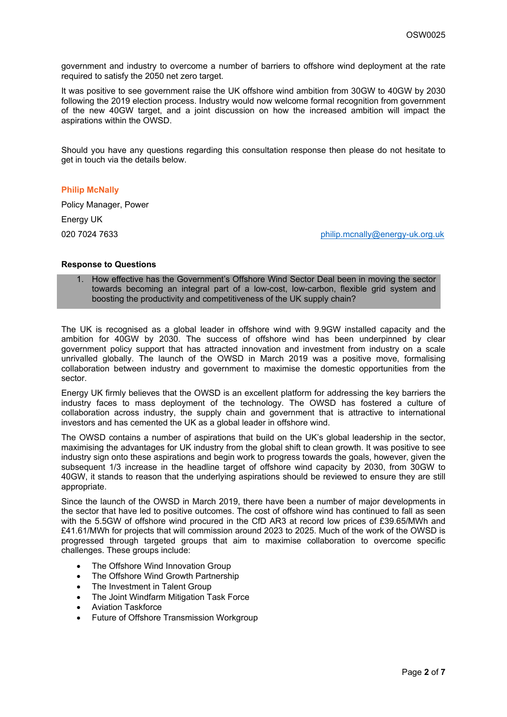government and industry to overcome a number of barriers to offshore wind deployment at the rate required to satisfy the 2050 net zero target.

It was positive to see government raise the UK offshore wind ambition from 30GW to 40GW by 2030 following the 2019 election process. Industry would now welcome formal recognition from government of the new 40GW target, and a joint discussion on how the increased ambition will impact the aspirations within the OWSD.

Should you have any questions regarding this consultation response then please do not hesitate to get in touch via the details below.

## **Philip McNally**

Policy Manager, Power

Energy UK

020 7024 7633 **[philip.mcnally@energy-uk.org.uk](mailto:philip.mcnally@energy-uk.org.uk)** 

## **Response to Questions**

1. How effective has the Government's Offshore Wind Sector Deal been in moving the sector towards becoming an integral part of a low-cost, low-carbon, flexible grid system and boosting the productivity and competitiveness of the UK supply chain?

The UK is recognised as a global leader in offshore wind with 9.9GW installed capacity and the ambition for 40GW by 2030. The success of offshore wind has been underpinned by clear government policy support that has attracted innovation and investment from industry on a scale unrivalled globally. The launch of the OWSD in March 2019 was a positive move, formalising collaboration between industry and government to maximise the domestic opportunities from the sector.

Energy UK firmly believes that the OWSD is an excellent platform for addressing the key barriers the industry faces to mass deployment of the technology. The OWSD has fostered a culture of collaboration across industry, the supply chain and government that is attractive to international investors and has cemented the UK as a global leader in offshore wind.

The OWSD contains a number of aspirations that build on the UK's global leadership in the sector, maximising the advantages for UK industry from the global shift to clean growth. It was positive to see industry sign onto these aspirations and begin work to progress towards the goals, however, given the subsequent 1/3 increase in the headline target of offshore wind capacity by 2030, from 30GW to 40GW, it stands to reason that the underlying aspirations should be reviewed to ensure they are still appropriate.

Since the launch of the OWSD in March 2019, there have been a number of major developments in the sector that have led to positive outcomes. The cost of offshore wind has continued to fall as seen with the 5.5GW of offshore wind procured in the CfD AR3 at record low prices of £39.65/MWh and £41.61/MWh for projects that will commission around 2023 to 2025. Much of the work of the OWSD is progressed through targeted groups that aim to maximise collaboration to overcome specific challenges. These groups include:

- The Offshore Wind Innovation Group
- The Offshore Wind Growth Partnership
- The Investment in Talent Group
- The Joint Windfarm Mitigation Task Force
- Aviation Taskforce
- Future of Offshore Transmission Workgroup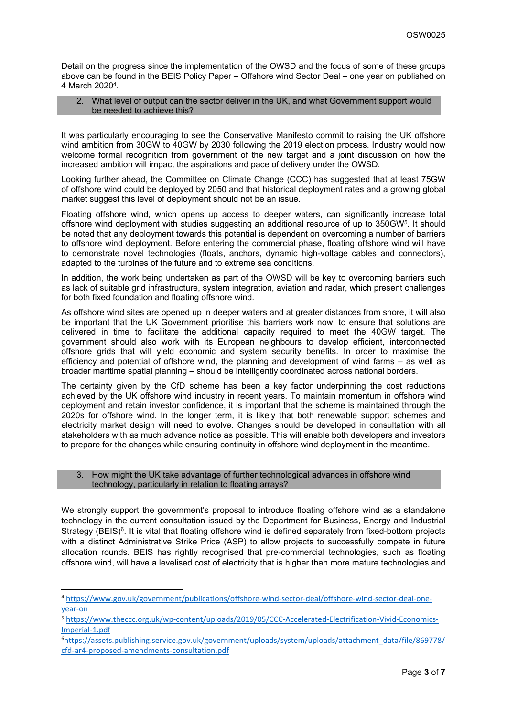Detail on the progress since the implementation of the OWSD and the focus of some of these groups above can be found in the BEIS Policy Paper – Offshore wind Sector Deal – one year on published on 4 March 2020<sup>4</sup>.

## 2. What level of output can the sector deliver in the UK, and what Government support would be needed to achieve this?

It was particularly encouraging to see the Conservative Manifesto commit to raising the UK offshore wind ambition from 30GW to 40GW by 2030 following the 2019 election process. Industry would now welcome formal recognition from government of the new target and a joint discussion on how the increased ambition will impact the aspirations and pace of delivery under the OWSD.

Looking further ahead, the Committee on Climate Change (CCC) has suggested that at least 75GW of offshore wind could be deployed by 2050 and that historical deployment rates and a growing global market suggest this level of deployment should not be an issue.

Floating offshore wind, which opens up access to deeper waters, can significantly increase total offshore wind deployment with studies suggesting an additional resource of up to 350GW<sup>5</sup> . It should be noted that any deployment towards this potential is dependent on overcoming a number of barriers to offshore wind deployment. Before entering the commercial phase, floating offshore wind will have to demonstrate novel technologies (floats, anchors, dynamic high-voltage cables and connectors), adapted to the turbines of the future and to extreme sea conditions.

In addition, the work being undertaken as part of the OWSD will be key to overcoming barriers such as lack of suitable grid infrastructure, system integration, aviation and radar, which present challenges for both fixed foundation and floating offshore wind.

As offshore wind sites are opened up in deeper waters and at greater distances from shore, it will also be important that the UK Government prioritise this barriers work now, to ensure that solutions are delivered in time to facilitate the additional capacity required to meet the 40GW target. The government should also work with its European neighbours to develop efficient, interconnected offshore grids that will yield economic and system security benefits. In order to maximise the efficiency and potential of offshore wind, the planning and development of wind farms – as well as broader maritime spatial planning – should be intelligently coordinated across national borders.

The certainty given by the CfD scheme has been a key factor underpinning the cost reductions achieved by the UK offshore wind industry in recent years. To maintain momentum in offshore wind deployment and retain investor confidence, it is important that the scheme is maintained through the 2020s for offshore wind. In the longer term, it is likely that both renewable support schemes and electricity market design will need to evolve. Changes should be developed in consultation with all stakeholders with as much advance notice as possible. This will enable both developers and investors to prepare for the changes while ensuring continuity in offshore wind deployment in the meantime.

## 3. How might the UK take advantage of further technological advances in offshore wind technology, particularly in relation to floating arrays?

We strongly support the government's proposal to introduce floating offshore wind as a standalone technology in the current consultation issued by the Department for Business, Energy and Industrial Strategy (BEIS)<sup>6</sup>. It is vital that floating offshore wind is defined separately from fixed-bottom projects with a distinct Administrative Strike Price (ASP) to allow projects to successfully compete in future allocation rounds. BEIS has rightly recognised that pre-commercial technologies, such as floating offshore wind, will have a levelised cost of electricity that is higher than more mature technologies and

<sup>4</sup> [https://www.gov.uk/government/publications/offshore-wind-sector-deal/offshore-wind-sector-deal-one](https://www.gov.uk/government/publications/offshore-wind-sector-deal/offshore-wind-sector-deal-one-year-on)[year-on](https://www.gov.uk/government/publications/offshore-wind-sector-deal/offshore-wind-sector-deal-one-year-on)

<sup>5</sup> [https://www.theccc.org.uk/wp-content/uploads/2019/05/CCC-Accelerated-Electrification-Vivid-Economics-](https://www.theccc.org.uk/wp-content/uploads/2019/05/CCC-Accelerated-Electrification-Vivid-Economics-Imperial-1.pdf)[Imperial-1.pdf](https://www.theccc.org.uk/wp-content/uploads/2019/05/CCC-Accelerated-Electrification-Vivid-Economics-Imperial-1.pdf)

<sup>6</sup>[https://assets.publishing.service.gov.uk/government/uploads/system/uploads/attachment\\_data/file/869778/](https://assets.publishing.service.gov.uk/government/uploads/system/uploads/attachment_data/file/869778/cfd-ar4-proposed-amendments-consultation.pdf) [cfd-ar4-proposed-amendments-consultation.pdf](https://assets.publishing.service.gov.uk/government/uploads/system/uploads/attachment_data/file/869778/cfd-ar4-proposed-amendments-consultation.pdf)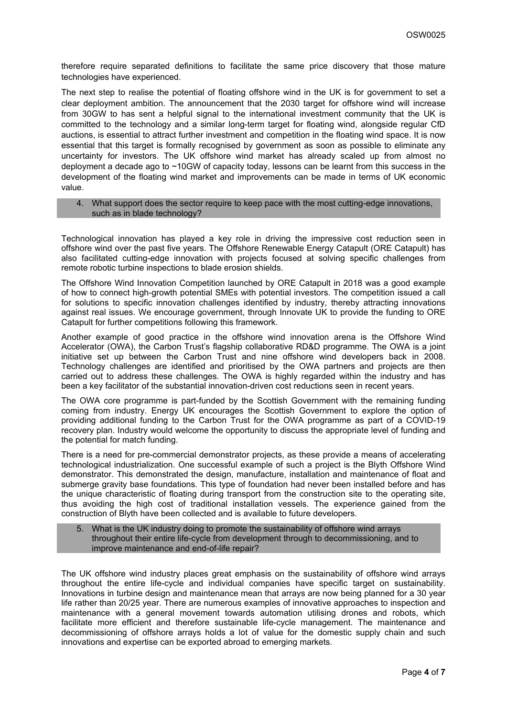therefore require separated definitions to facilitate the same price discovery that those mature technologies have experienced.

The next step to realise the potential of floating offshore wind in the UK is for government to set a clear deployment ambition. The announcement that the 2030 target for offshore wind will increase from 30GW to has sent a helpful signal to the international investment community that the UK is committed to the technology and a similar long-term target for floating wind, alongside regular CfD auctions, is essential to attract further investment and competition in the floating wind space. It is now essential that this target is formally recognised by government as soon as possible to eliminate any uncertainty for investors. The UK offshore wind market has already scaled up from almost no deployment a decade ago to ~10GW of capacity today, lessons can be learnt from this success in the development of the floating wind market and improvements can be made in terms of UK economic value.

### 4. What support does the sector require to keep pace with the most cutting-edge innovations, such as in blade technology?

Technological innovation has played a key role in driving the impressive cost reduction seen in offshore wind over the past five years. The Offshore Renewable Energy Catapult (ORE Catapult) has also facilitated cutting-edge innovation with projects focused at solving specific challenges from remote robotic turbine inspections to blade erosion shields.

The Offshore Wind Innovation Competition launched by ORE Catapult in 2018 was a good example of how to connect high-growth potential SMEs with potential investors. The competition issued a call for solutions to specific innovation challenges identified by industry, thereby attracting innovations against real issues. We encourage government, through Innovate UK to provide the funding to ORE Catapult for further competitions following this framework.

Another example of good practice in the offshore wind innovation arena is the Offshore Wind Accelerator (OWA), the Carbon Trust's flagship collaborative RD&D programme. The OWA is a joint initiative set up between the Carbon Trust and nine offshore wind developers back in 2008. Technology challenges are identified and prioritised by the OWA partners and projects are then carried out to address these challenges. The OWA is highly regarded within the industry and has been a key facilitator of the substantial innovation-driven cost reductions seen in recent years.

The OWA core programme is part-funded by the Scottish Government with the remaining funding coming from industry. Energy UK encourages the Scottish Government to explore the option of providing additional funding to the Carbon Trust for the OWA programme as part of a COVID-19 recovery plan. Industry would welcome the opportunity to discuss the appropriate level of funding and the potential for match funding.

There is a need for pre-commercial demonstrator projects, as these provide a means of accelerating technological industrialization. One successful example of such a project is the Blyth Offshore Wind demonstrator. This demonstrated the design, manufacture, installation and maintenance of float and submerge gravity base foundations. This type of foundation had never been installed before and has the unique characteristic of floating during transport from the construction site to the operating site, thus avoiding the high cost of traditional installation vessels. The experience gained from the construction of Blyth have been collected and is available to future developers.

## 5. What is the UK industry doing to promote the sustainability of offshore wind arrays throughout their entire life-cycle from development through to decommissioning, and to improve maintenance and end-of-life repair?

The UK offshore wind industry places great emphasis on the sustainability of offshore wind arrays throughout the entire life-cycle and individual companies have specific target on sustainability. Innovations in turbine design and maintenance mean that arrays are now being planned for a 30 year life rather than 20/25 year. There are numerous examples of innovative approaches to inspection and maintenance with a general movement towards automation utilising drones and robots, which facilitate more efficient and therefore sustainable life-cycle management. The maintenance and decommissioning of offshore arrays holds a lot of value for the domestic supply chain and such innovations and expertise can be exported abroad to emerging markets.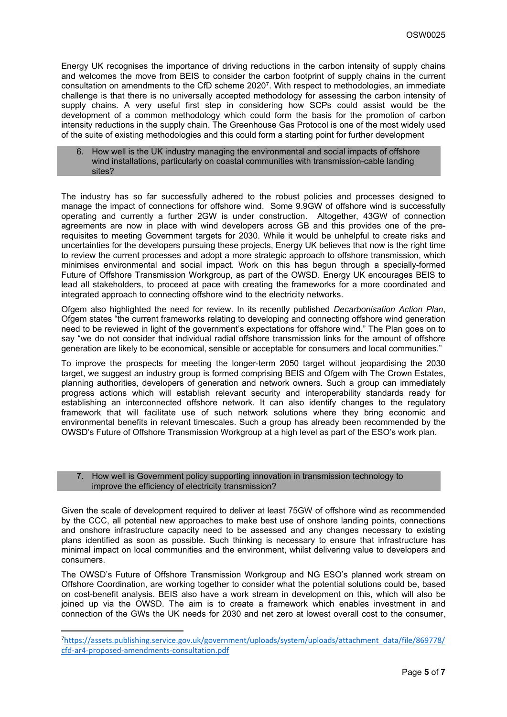Energy UK recognises the importance of driving reductions in the carbon intensity of supply chains and welcomes the move from BEIS to consider the carbon footprint of supply chains in the current consultation on amendments to the CfD scheme 2020<sup>7</sup> . With respect to methodologies, an immediate challenge is that there is no universally accepted methodology for assessing the carbon intensity of supply chains. A very useful first step in considering how SCPs could assist would be the development of a common methodology which could form the basis for the promotion of carbon intensity reductions in the supply chain. The Greenhouse Gas Protocol is one of the most widely used of the suite of existing methodologies and this could form a starting point for further development

How well is the UK industry managing the environmental and social impacts of offshore wind installations, particularly on coastal communities with transmission-cable landing sites?

The industry has so far successfully adhered to the robust policies and processes designed to manage the impact of connections for offshore wind. Some 9.9GW of offshore wind is successfully operating and currently a further 2GW is under construction. Altogether, 43GW of connection agreements are now in place with wind developers across GB and this provides one of the prerequisites to meeting Government targets for 2030. While it would be unhelpful to create risks and uncertainties for the developers pursuing these projects, Energy UK believes that now is the right time to review the current processes and adopt a more strategic approach to offshore transmission, which minimises environmental and social impact. Work on this has begun through a specially-formed Future of Offshore Transmission Workgroup, as part of the OWSD. Energy UK encourages BEIS to lead all stakeholders, to proceed at pace with creating the frameworks for a more coordinated and integrated approach to connecting offshore wind to the electricity networks.

Ofgem also highlighted the need for review. In its recently published *Decarbonisation Action Plan*, Ofgem states "the current frameworks relating to developing and connecting offshore wind generation need to be reviewed in light of the government's expectations for offshore wind." The Plan goes on to say "we do not consider that individual radial offshore transmission links for the amount of offshore generation are likely to be economical, sensible or acceptable for consumers and local communities."

To improve the prospects for meeting the longer-term 2050 target without jeopardising the 2030 target, we suggest an industry group is formed comprising BEIS and Ofgem with The Crown Estates, planning authorities, developers of generation and network owners. Such a group can immediately progress actions which will establish relevant security and interoperability standards ready for establishing an interconnected offshore network. It can also identify changes to the regulatory framework that will facilitate use of such network solutions where they bring economic and environmental benefits in relevant timescales. Such a group has already been recommended by the OWSD's Future of Offshore Transmission Workgroup at a high level as part of the ESO's work plan.

#### 7. How well is Government policy supporting innovation in transmission technology to improve the efficiency of electricity transmission?

Given the scale of development required to deliver at least 75GW of offshore wind as recommended by the CCC, all potential new approaches to make best use of onshore landing points, connections and onshore infrastructure capacity need to be assessed and any changes necessary to existing plans identified as soon as possible. Such thinking is necessary to ensure that infrastructure has minimal impact on local communities and the environment, whilst delivering value to developers and consumers.

The OWSD's Future of Offshore Transmission Workgroup and NG ESO's planned work stream on Offshore Coordination, are working together to consider what the potential solutions could be, based on cost-benefit analysis. BEIS also have a work stream in development on this, which will also be joined up via the OWSD. The aim is to create a framework which enables investment in and connection of the GWs the UK needs for 2030 and net zero at lowest overall cost to the consumer,

<sup>7</sup>[https://assets.publishing.service.gov.uk/government/uploads/system/uploads/attachment\\_data/file/869778/](https://assets.publishing.service.gov.uk/government/uploads/system/uploads/attachment_data/file/869778/cfd-ar4-proposed-amendments-consultation.pdf) [cfd-ar4-proposed-amendments-consultation.pdf](https://assets.publishing.service.gov.uk/government/uploads/system/uploads/attachment_data/file/869778/cfd-ar4-proposed-amendments-consultation.pdf)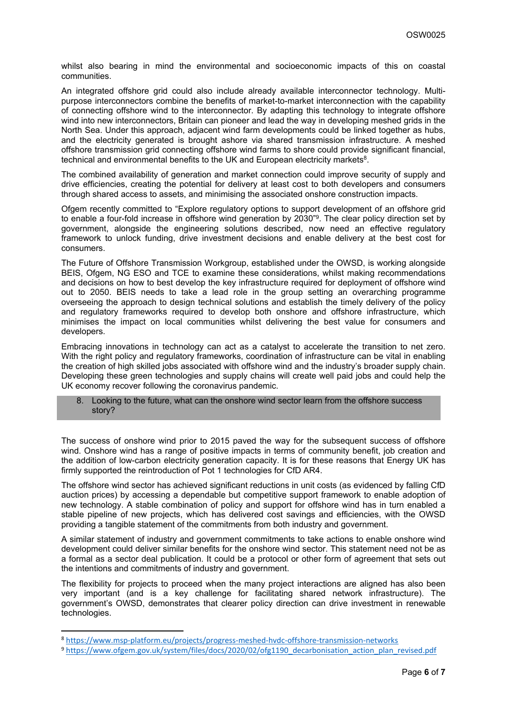whilst also bearing in mind the environmental and socioeconomic impacts of this on coastal communities.

An integrated offshore grid could also include already available interconnector technology. Multipurpose interconnectors combine the benefits of market-to-market interconnection with the capability of connecting offshore wind to the interconnector. By adapting this technology to integrate offshore wind into new interconnectors, Britain can pioneer and lead the way in developing meshed grids in the North Sea. Under this approach, adjacent wind farm developments could be linked together as hubs, and the electricity generated is brought ashore via shared transmission infrastructure. A meshed offshore transmission grid connecting offshore wind farms to shore could provide significant financial, technical and environmental benefits to the UK and European electricity markets<sup>8</sup>.

The combined availability of generation and market connection could improve security of supply and drive efficiencies, creating the potential for delivery at least cost to both developers and consumers through shared access to assets, and minimising the associated onshore construction impacts.

Ofgem recently committed to "Explore regulatory options to support development of an offshore grid to enable a four-fold increase in offshore wind generation by 2030"<sup>9</sup>. The clear policy direction set by government, alongside the engineering solutions described, now need an effective regulatory framework to unlock funding, drive investment decisions and enable delivery at the best cost for consumers.

The Future of Offshore Transmission Workgroup, established under the OWSD, is working alongside BEIS, Ofgem, NG ESO and TCE to examine these considerations, whilst making recommendations and decisions on how to best develop the key infrastructure required for deployment of offshore wind out to 2050. BEIS needs to take a lead role in the group setting an overarching programme overseeing the approach to design technical solutions and establish the timely delivery of the policy and regulatory frameworks required to develop both onshore and offshore infrastructure, which minimises the impact on local communities whilst delivering the best value for consumers and developers.

Embracing innovations in technology can act as a catalyst to accelerate the transition to net zero. With the right policy and regulatory frameworks, coordination of infrastructure can be vital in enabling the creation of high skilled jobs associated with offshore wind and the industry's broader supply chain. Developing these green technologies and supply chains will create well paid jobs and could help the UK economy recover following the coronavirus pandemic.

#### 8. Looking to the future, what can the onshore wind sector learn from the offshore success story?

The success of onshore wind prior to 2015 paved the way for the subsequent success of offshore wind. Onshore wind has a range of positive impacts in terms of community benefit, job creation and the addition of low-carbon electricity generation capacity. It is for these reasons that Energy UK has firmly supported the reintroduction of Pot 1 technologies for CfD AR4.

The offshore wind sector has achieved significant reductions in unit costs (as evidenced by falling CfD auction prices) by accessing a dependable but competitive support framework to enable adoption of new technology. A stable combination of policy and support for offshore wind has in turn enabled a stable pipeline of new projects, which has delivered cost savings and efficiencies, with the OWSD providing a tangible statement of the commitments from both industry and government.

A similar statement of industry and government commitments to take actions to enable onshore wind development could deliver similar benefits for the onshore wind sector. This statement need not be as a formal as a sector deal publication. It could be a protocol or other form of agreement that sets out the intentions and commitments of industry and government.

The flexibility for projects to proceed when the many project interactions are aligned has also been very important (and is a key challenge for facilitating shared network infrastructure). The government's OWSD, demonstrates that clearer policy direction can drive investment in renewable technologies.

<sup>8</sup> <https://www.msp-platform.eu/projects/progress-meshed-hvdc-offshore-transmission-networks>

<sup>9</sup> [https://www.ofgem.gov.uk/system/files/docs/2020/02/ofg1190\\_decarbonisation\\_action\\_plan\\_revised.pdf](https://www.ofgem.gov.uk/system/files/docs/2020/02/ofg1190_decarbonisation_action_plan_revised.pdf)